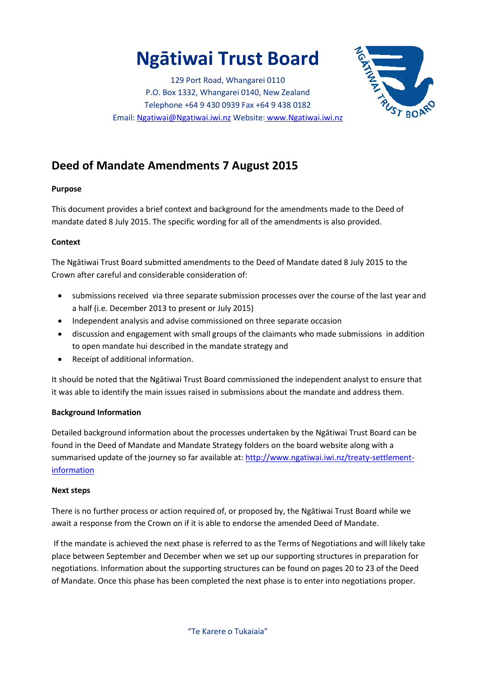# **Ngātiwai Trust Board**

129 Port Road, Whangarei 0110 P.O. Box 1332, Whangarei 0140, New Zealand Telephone +64 9 430 0939 Fax +64 9 438 0182 Email[: Ngatiwai@Ngatiwai.iwi.nz](mailto:Ngatiwai@Ngatiwai.iwi.nz) Website: [www.Ngatiwai.iwi.nz](http://www.ngatiwai.iwi.nz/)



# **Deed of Mandate Amendments 7 August 2015**

### **Purpose**

This document provides a brief context and background for the amendments made to the Deed of mandate dated 8 July 2015. The specific wording for all of the amendments is also provided.

### **Context**

The Ngātiwai Trust Board submitted amendments to the Deed of Mandate dated 8 July 2015 to the Crown after careful and considerable consideration of:

- submissions received via three separate submission processes over the course of the last year and a half (i.e. December 2013 to present or July 2015)
- Independent analysis and advise commissioned on three separate occasion
- discussion and engagement with small groups of the claimants who made submissions in addition to open mandate hui described in the mandate strategy and
- Receipt of additional information.

It should be noted that the Ngātiwai Trust Board commissioned the independent analyst to ensure that it was able to identify the main issues raised in submissions about the mandate and address them.

### **Background Information**

Detailed background information about the processes undertaken by the Ngātiwai Trust Board can be found in the Deed of Mandate and Mandate Strategy folders on the board website along with a summarised update of the journey so far available at: [http://www.ngatiwai.iwi.nz/treaty-settlement](http://www.ngatiwai.iwi.nz/treaty-settlement-information)[information](http://www.ngatiwai.iwi.nz/treaty-settlement-information)

### **Next steps**

There is no further process or action required of, or proposed by, the Ngātiwai Trust Board while we await a response from the Crown on if it is able to endorse the amended Deed of Mandate.

If the mandate is achieved the next phase is referred to as the Terms of Negotiations and will likely take place between September and December when we set up our supporting structures in preparation for negotiations. Information about the supporting structures can be found on pages 20 to 23 of the Deed of Mandate. Once this phase has been completed the next phase is to enter into negotiations proper.